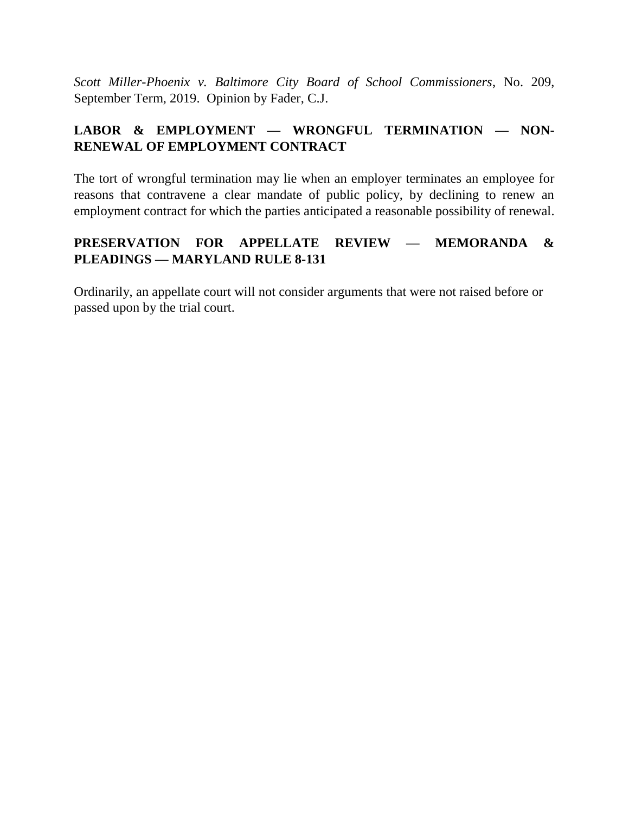*Scott Miller-Phoenix v. Baltimore City Board of School Commissioners*, No. 209, September Term, 2019. Opinion by Fader, C.J.

# **LABOR & EMPLOYMENT — WRONGFUL TERMINATION — NON-RENEWAL OF EMPLOYMENT CONTRACT**

The tort of wrongful termination may lie when an employer terminates an employee for reasons that contravene a clear mandate of public policy, by declining to renew an employment contract for which the parties anticipated a reasonable possibility of renewal.

# **PRESERVATION FOR APPELLATE REVIEW — MEMORANDA & PLEADINGS — MARYLAND RULE 8-131**

Ordinarily, an appellate court will not consider arguments that were not raised before or passed upon by the trial court.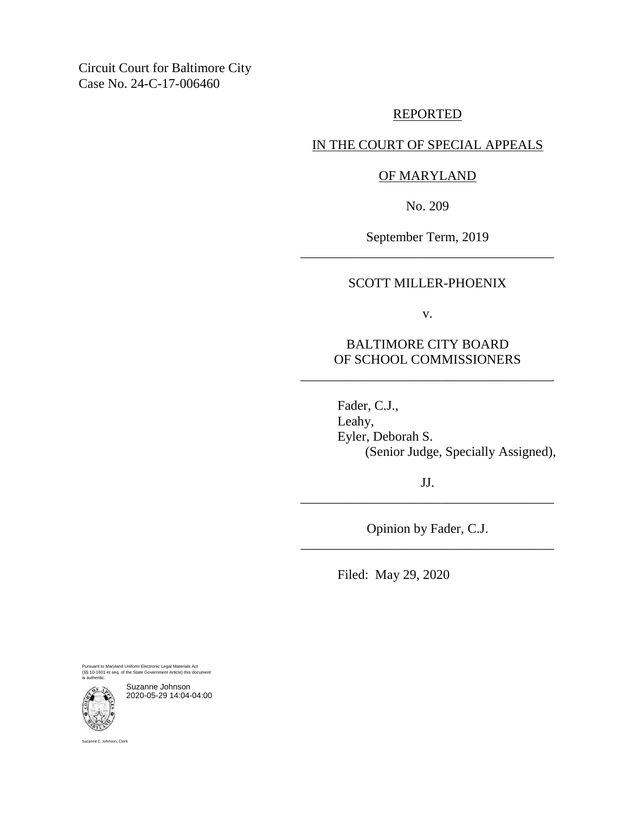Circuit Court for Baltimore City Case No. 24-C-17-006460

### REPORTED

## IN THE COURT OF SPECIAL APPEALS

## OF MARYLAND

No. 209

September Term, 2019 \_\_\_\_\_\_\_\_\_\_\_\_\_\_\_\_\_\_\_\_\_\_\_\_\_\_\_\_\_\_\_\_\_\_\_\_\_\_

## SCOTT MILLER-PHOENIX

v.

## BALTIMORE CITY BOARD OF SCHOOL COMMISSIONERS

\_\_\_\_\_\_\_\_\_\_\_\_\_\_\_\_\_\_\_\_\_\_\_\_\_\_\_\_\_\_\_\_\_\_\_\_\_\_

Fader, C.J., Leahy, Eyler, Deborah S. (Senior Judge, Specially Assigned),

JJ. \_\_\_\_\_\_\_\_\_\_\_\_\_\_\_\_\_\_\_\_\_\_\_\_\_\_\_\_\_\_\_\_\_\_\_\_\_\_

Opinion by Fader, C.J. \_\_\_\_\_\_\_\_\_\_\_\_\_\_\_\_\_\_\_\_\_\_\_\_\_\_\_\_\_\_\_\_\_\_\_\_\_\_

Filed: May 29, 2020

Pursuant to Maryland Uniform Electronic Legal Materials Act (§§ 10-1601 et seq. of the State Government Article) this document is authentic.



Suzanne Johnson 2020-05-29 14:04-04:00

Suzanne C. Johnson, Clerk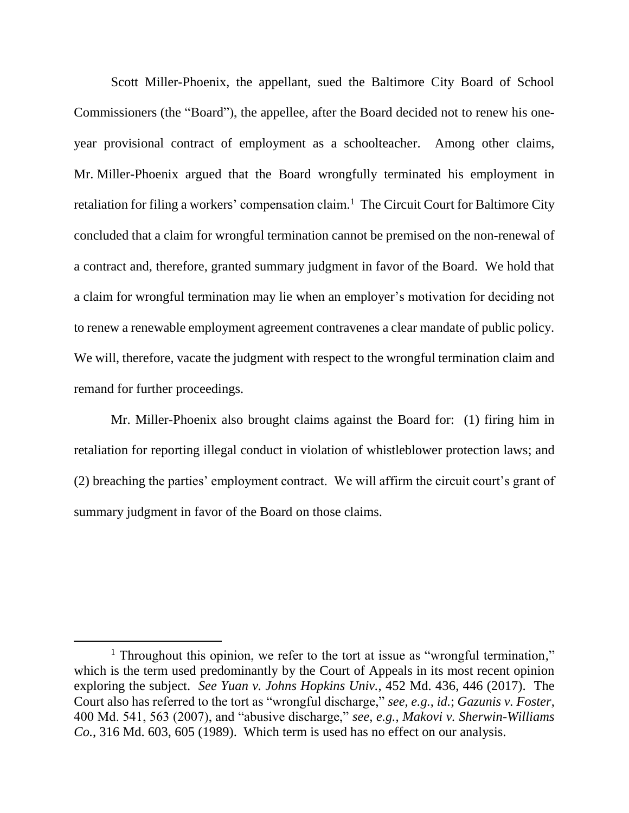Scott Miller-Phoenix, the appellant, sued the Baltimore City Board of School Commissioners (the "Board"), the appellee, after the Board decided not to renew his oneyear provisional contract of employment as a schoolteacher. Among other claims, Mr. Miller-Phoenix argued that the Board wrongfully terminated his employment in retaliation for filing a workers' compensation claim.<sup>1</sup> The Circuit Court for Baltimore City concluded that a claim for wrongful termination cannot be premised on the non-renewal of a contract and, therefore, granted summary judgment in favor of the Board. We hold that a claim for wrongful termination may lie when an employer's motivation for deciding not to renew a renewable employment agreement contravenes a clear mandate of public policy. We will, therefore, vacate the judgment with respect to the wrongful termination claim and remand for further proceedings.

Mr. Miller-Phoenix also brought claims against the Board for: (1) firing him in retaliation for reporting illegal conduct in violation of whistleblower protection laws; and (2) breaching the parties' employment contract. We will affirm the circuit court's grant of summary judgment in favor of the Board on those claims.

<sup>&</sup>lt;sup>1</sup> Throughout this opinion, we refer to the tort at issue as "wrongful termination," which is the term used predominantly by the Court of Appeals in its most recent opinion exploring the subject. *See Yuan v. Johns Hopkins Univ.*, 452 Md. 436, 446 (2017). The Court also has referred to the tort as "wrongful discharge," *see, e.g.*, *id.*; *Gazunis v. Foster*, 400 Md. 541, 563 (2007), and "abusive discharge," *see, e.g.*, *Makovi v. Sherwin-Williams Co.*, 316 Md. 603, 605 (1989). Which term is used has no effect on our analysis.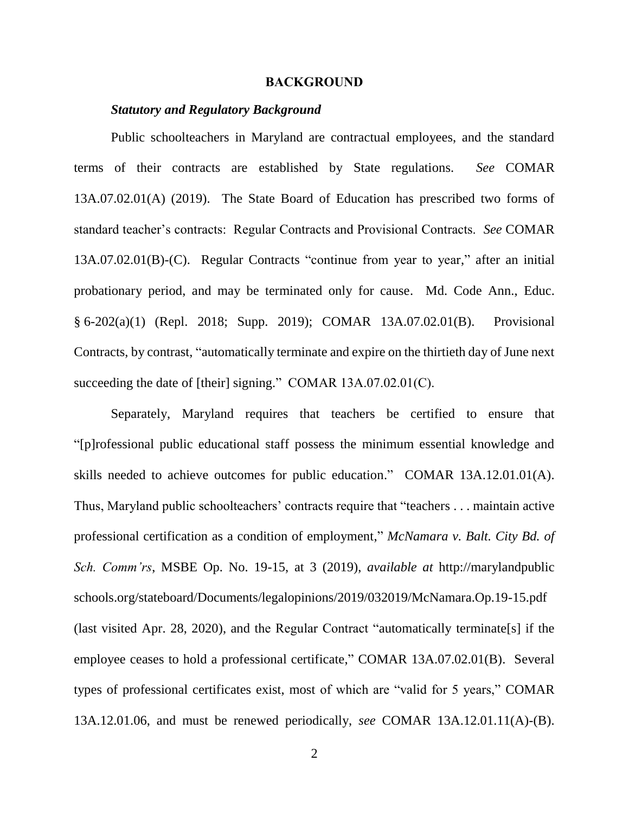#### **BACKGROUND**

#### *Statutory and Regulatory Background*

Public schoolteachers in Maryland are contractual employees, and the standard terms of their contracts are established by State regulations. *See* COMAR 13A.07.02.01(A) (2019). The State Board of Education has prescribed two forms of standard teacher's contracts: Regular Contracts and Provisional Contracts. *See* COMAR 13A.07.02.01(B)-(C). Regular Contracts "continue from year to year," after an initial probationary period, and may be terminated only for cause. Md. Code Ann., Educ. § 6-202(a)(1) (Repl. 2018; Supp. 2019); COMAR 13A.07.02.01(B). Provisional Contracts, by contrast, "automatically terminate and expire on the thirtieth day of June next succeeding the date of [their] signing." COMAR 13A.07.02.01(C).

Separately, Maryland requires that teachers be certified to ensure that "[p]rofessional public educational staff possess the minimum essential knowledge and skills needed to achieve outcomes for public education." COMAR 13A.12.01.01(A). Thus, Maryland public schoolteachers' contracts require that "teachers . . . maintain active professional certification as a condition of employment," *McNamara v. Balt. City Bd. of Sch. Comm'rs*, MSBE Op. No. 19-15, at 3 (2019), *available at* http://marylandpublic schools.org/stateboard/Documents/legalopinions/2019/032019/McNamara.Op.19-15.pdf (last visited Apr. 28, 2020), and the Regular Contract "automatically terminate[s] if the employee ceases to hold a professional certificate," COMAR 13A.07.02.01(B). Several types of professional certificates exist, most of which are "valid for 5 years," COMAR 13A.12.01.06, and must be renewed periodically, *see* COMAR 13A.12.01.11(A)-(B).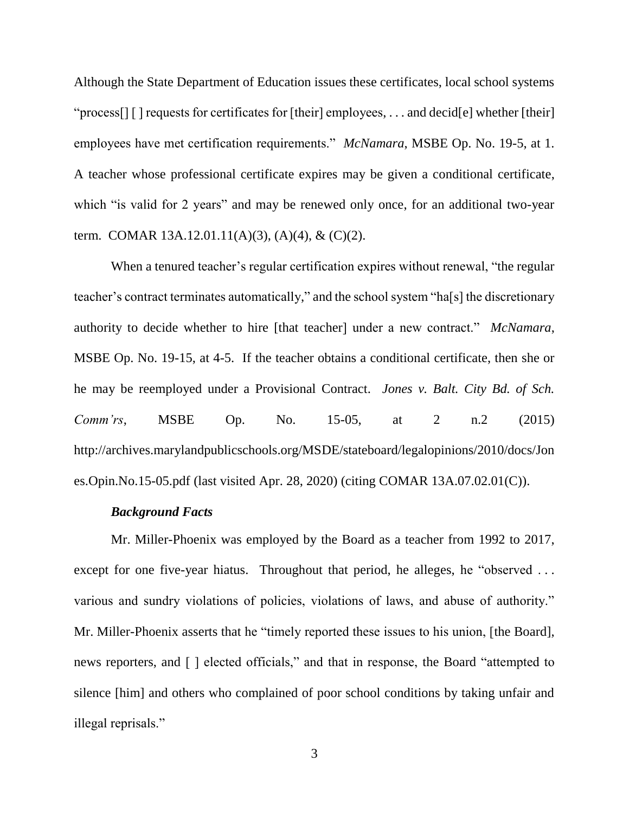Although the State Department of Education issues these certificates, local school systems "process[] [ ] requests for certificates for [their] employees, . . . and decid[e] whether [their] employees have met certification requirements." *McNamara*, MSBE Op. No. 19-5, at 1. A teacher whose professional certificate expires may be given a conditional certificate, which "is valid for 2 years" and may be renewed only once, for an additional two-year term. COMAR 13A.12.01.11(A)(3), (A)(4), & (C)(2).

When a tenured teacher's regular certification expires without renewal, "the regular teacher's contract terminates automatically," and the school system "ha[s] the discretionary authority to decide whether to hire [that teacher] under a new contract." *McNamara*, MSBE Op. No. 19-15, at 4-5. If the teacher obtains a conditional certificate, then she or he may be reemployed under a Provisional Contract. *Jones v. Balt. City Bd. of Sch. Comm'rs*, MSBE Op. No. 15-05, at 2 n.2 (2015) http://archives.marylandpublicschools.org/MSDE/stateboard/legalopinions/2010/docs/Jon es.Opin.No.15-05.pdf (last visited Apr. 28, 2020) (citing COMAR 13A.07.02.01(C)).

#### *Background Facts*

Mr. Miller-Phoenix was employed by the Board as a teacher from 1992 to 2017, except for one five-year hiatus. Throughout that period, he alleges, he "observed ... various and sundry violations of policies, violations of laws, and abuse of authority." Mr. Miller-Phoenix asserts that he "timely reported these issues to his union, [the Board], news reporters, and [ ] elected officials," and that in response, the Board "attempted to silence [him] and others who complained of poor school conditions by taking unfair and illegal reprisals."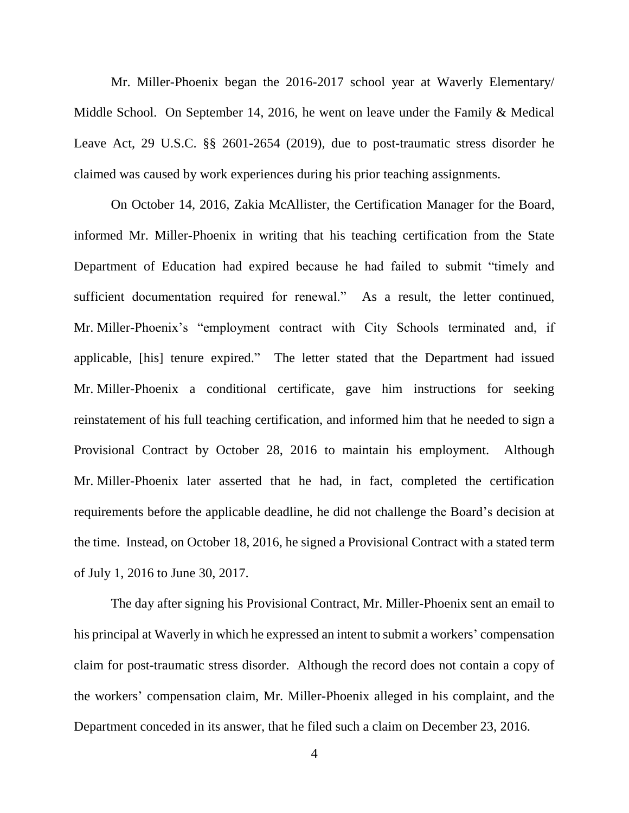Mr. Miller-Phoenix began the 2016-2017 school year at Waverly Elementary/ Middle School. On September 14, 2016, he went on leave under the Family & Medical Leave Act, 29 U.S.C. §§ 2601-2654 (2019), due to post-traumatic stress disorder he claimed was caused by work experiences during his prior teaching assignments.

On October 14, 2016, Zakia McAllister, the Certification Manager for the Board, informed Mr. Miller-Phoenix in writing that his teaching certification from the State Department of Education had expired because he had failed to submit "timely and sufficient documentation required for renewal." As a result, the letter continued, Mr. Miller-Phoenix's "employment contract with City Schools terminated and, if applicable, [his] tenure expired." The letter stated that the Department had issued Mr. Miller-Phoenix a conditional certificate, gave him instructions for seeking reinstatement of his full teaching certification, and informed him that he needed to sign a Provisional Contract by October 28, 2016 to maintain his employment. Although Mr. Miller-Phoenix later asserted that he had, in fact, completed the certification requirements before the applicable deadline, he did not challenge the Board's decision at the time. Instead, on October 18, 2016, he signed a Provisional Contract with a stated term of July 1, 2016 to June 30, 2017.

The day after signing his Provisional Contract, Mr. Miller-Phoenix sent an email to his principal at Waverly in which he expressed an intent to submit a workers' compensation claim for post-traumatic stress disorder. Although the record does not contain a copy of the workers' compensation claim, Mr. Miller-Phoenix alleged in his complaint, and the Department conceded in its answer, that he filed such a claim on December 23, 2016.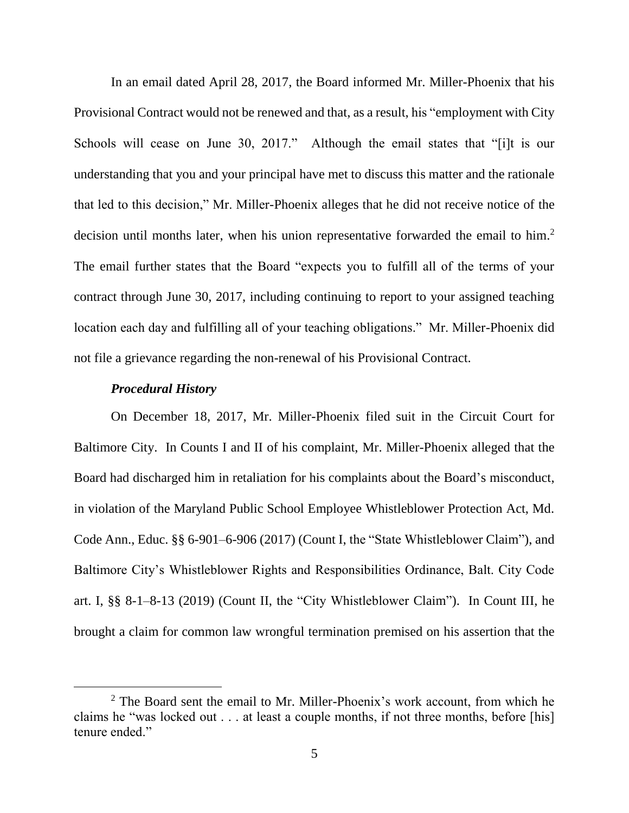In an email dated April 28, 2017, the Board informed Mr. Miller-Phoenix that his Provisional Contract would not be renewed and that, as a result, his "employment with City Schools will cease on June 30, 2017." Although the email states that "[i]t is our understanding that you and your principal have met to discuss this matter and the rationale that led to this decision," Mr. Miller-Phoenix alleges that he did not receive notice of the decision until months later, when his union representative forwarded the email to him.<sup>2</sup> The email further states that the Board "expects you to fulfill all of the terms of your contract through June 30, 2017, including continuing to report to your assigned teaching location each day and fulfilling all of your teaching obligations." Mr. Miller-Phoenix did not file a grievance regarding the non-renewal of his Provisional Contract.

#### *Procedural History*

 $\overline{a}$ 

On December 18, 2017, Mr. Miller-Phoenix filed suit in the Circuit Court for Baltimore City. In Counts I and II of his complaint, Mr. Miller-Phoenix alleged that the Board had discharged him in retaliation for his complaints about the Board's misconduct, in violation of the Maryland Public School Employee Whistleblower Protection Act, Md. Code Ann., Educ. §§ 6-901–6-906 (2017) (Count I, the "State Whistleblower Claim"), and Baltimore City's Whistleblower Rights and Responsibilities Ordinance, Balt. City Code art. I, §§ 8-1–8-13 (2019) (Count II, the "City Whistleblower Claim"). In Count III, he brought a claim for common law wrongful termination premised on his assertion that the

<sup>&</sup>lt;sup>2</sup> The Board sent the email to Mr. Miller-Phoenix's work account, from which he claims he "was locked out . . . at least a couple months, if not three months, before [his] tenure ended."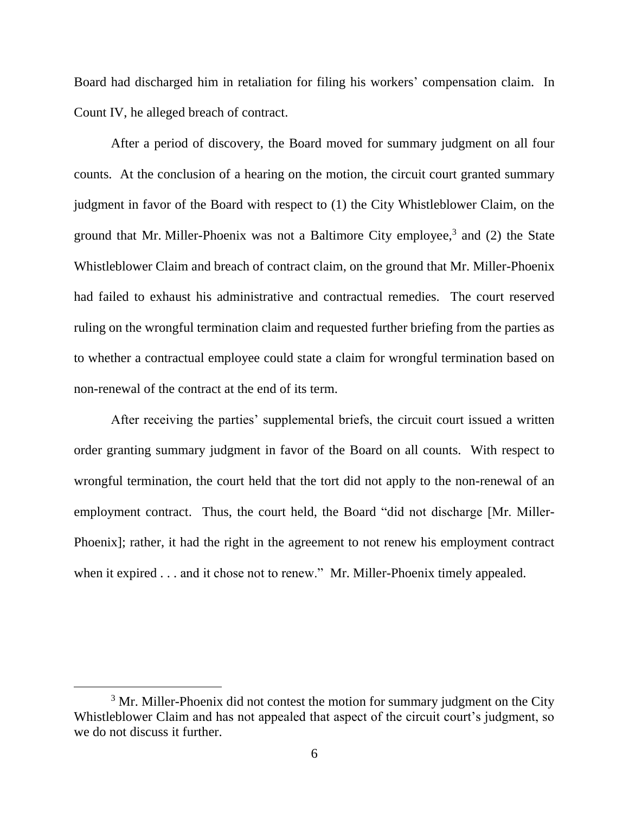Board had discharged him in retaliation for filing his workers' compensation claim. In Count IV, he alleged breach of contract.

After a period of discovery, the Board moved for summary judgment on all four counts. At the conclusion of a hearing on the motion, the circuit court granted summary judgment in favor of the Board with respect to (1) the City Whistleblower Claim, on the ground that Mr. Miller-Phoenix was not a Baltimore City employee, $3$  and (2) the State Whistleblower Claim and breach of contract claim, on the ground that Mr. Miller-Phoenix had failed to exhaust his administrative and contractual remedies. The court reserved ruling on the wrongful termination claim and requested further briefing from the parties as to whether a contractual employee could state a claim for wrongful termination based on non-renewal of the contract at the end of its term.

After receiving the parties' supplemental briefs, the circuit court issued a written order granting summary judgment in favor of the Board on all counts. With respect to wrongful termination, the court held that the tort did not apply to the non-renewal of an employment contract. Thus, the court held, the Board "did not discharge [Mr. Miller-Phoenix]; rather, it had the right in the agreement to not renew his employment contract when it expired . . . and it chose not to renew." Mr. Miller-Phoenix timely appealed.

 $3$  Mr. Miller-Phoenix did not contest the motion for summary judgment on the City Whistleblower Claim and has not appealed that aspect of the circuit court's judgment, so we do not discuss it further.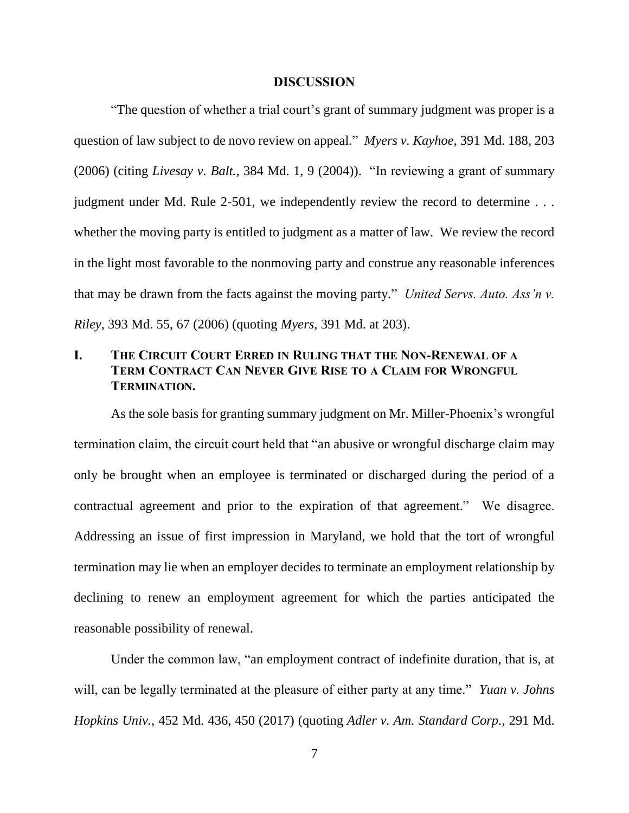#### **DISCUSSION**

"The question of whether a trial court's grant of summary judgment was proper is a question of law subject to de novo review on appeal." *Myers v. Kayhoe*, 391 Md. 188, 203 (2006) (citing *Livesay v. Balt.*, 384 Md. 1, 9 (2004)). "In reviewing a grant of summary judgment under Md. Rule 2-501, we independently review the record to determine . . . whether the moving party is entitled to judgment as a matter of law. We review the record in the light most favorable to the nonmoving party and construe any reasonable inferences that may be drawn from the facts against the moving party." *United Servs. Auto. Ass'n v. Riley*, 393 Md. 55, 67 (2006) (quoting *Myers*, 391 Md. at 203).

## **I. THE CIRCUIT COURT ERRED IN RULING THAT THE NON-RENEWAL OF A TERM CONTRACT CAN NEVER GIVE RISE TO A CLAIM FOR WRONGFUL TERMINATION.**

As the sole basis for granting summary judgment on Mr. Miller-Phoenix's wrongful termination claim, the circuit court held that "an abusive or wrongful discharge claim may only be brought when an employee is terminated or discharged during the period of a contractual agreement and prior to the expiration of that agreement." We disagree. Addressing an issue of first impression in Maryland, we hold that the tort of wrongful termination may lie when an employer decides to terminate an employment relationship by declining to renew an employment agreement for which the parties anticipated the reasonable possibility of renewal.

Under the common law, "an employment contract of indefinite duration, that is, at will, can be legally terminated at the pleasure of either party at any time." *Yuan v. Johns Hopkins Univ.*, 452 Md. 436, 450 (2017) (quoting *Adler v. Am. Standard Corp.*, 291 Md.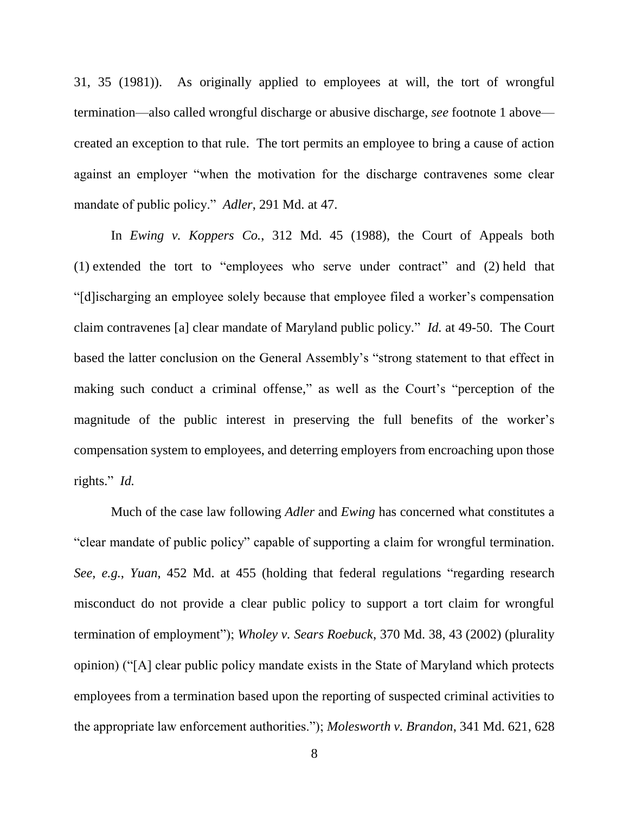31, 35 (1981)). As originally applied to employees at will, the tort of wrongful termination—also called wrongful discharge or abusive discharge, *see* footnote 1 above created an exception to that rule. The tort permits an employee to bring a cause of action against an employer "when the motivation for the discharge contravenes some clear mandate of public policy." *Adler*, 291 Md. at 47.

In *Ewing v. Koppers Co.*, 312 Md. 45 (1988), the Court of Appeals both (1) extended the tort to "employees who serve under contract" and (2) held that "[d]ischarging an employee solely because that employee filed a worker's compensation claim contravenes [a] clear mandate of Maryland public policy." *Id.* at 49-50. The Court based the latter conclusion on the General Assembly's "strong statement to that effect in making such conduct a criminal offense," as well as the Court's "perception of the magnitude of the public interest in preserving the full benefits of the worker's compensation system to employees, and deterring employers from encroaching upon those rights." *Id.*

Much of the case law following *Adler* and *Ewing* has concerned what constitutes a "clear mandate of public policy" capable of supporting a claim for wrongful termination. *See, e.g.*, *Yuan*, 452 Md. at 455 (holding that federal regulations "regarding research misconduct do not provide a clear public policy to support a tort claim for wrongful termination of employment"); *Wholey v. Sears Roebuck*, 370 Md. 38, 43 (2002) (plurality opinion) ("[A] clear public policy mandate exists in the State of Maryland which protects employees from a termination based upon the reporting of suspected criminal activities to the appropriate law enforcement authorities."); *Molesworth v. Brandon*, 341 Md. 621, 628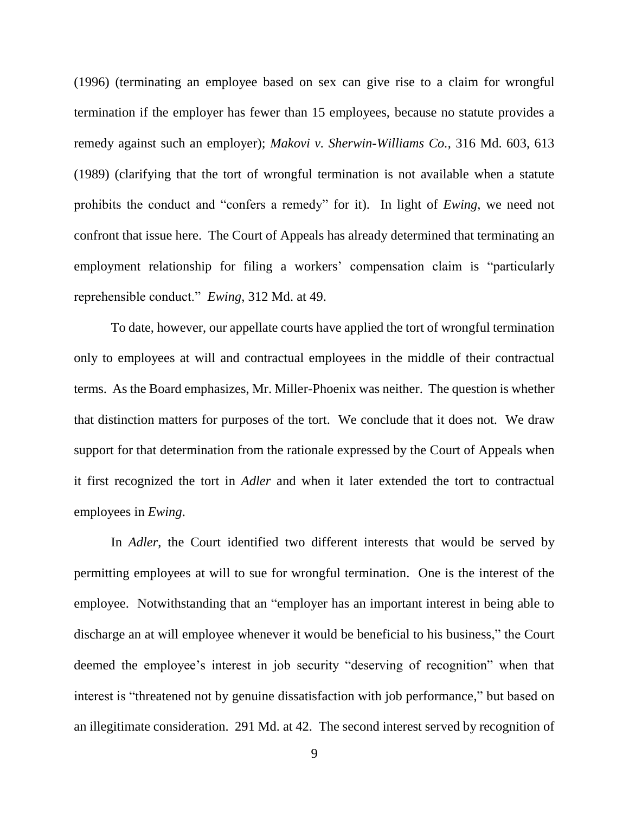(1996) (terminating an employee based on sex can give rise to a claim for wrongful termination if the employer has fewer than 15 employees, because no statute provides a remedy against such an employer); *Makovi v. Sherwin-Williams Co.*, 316 Md. 603, 613 (1989) (clarifying that the tort of wrongful termination is not available when a statute prohibits the conduct and "confers a remedy" for it). In light of *Ewing*, we need not confront that issue here. The Court of Appeals has already determined that terminating an employment relationship for filing a workers' compensation claim is "particularly reprehensible conduct." *Ewing*, 312 Md. at 49.

To date, however, our appellate courts have applied the tort of wrongful termination only to employees at will and contractual employees in the middle of their contractual terms. As the Board emphasizes, Mr. Miller-Phoenix was neither. The question is whether that distinction matters for purposes of the tort. We conclude that it does not. We draw support for that determination from the rationale expressed by the Court of Appeals when it first recognized the tort in *Adler* and when it later extended the tort to contractual employees in *Ewing*.

In *Adler*, the Court identified two different interests that would be served by permitting employees at will to sue for wrongful termination. One is the interest of the employee. Notwithstanding that an "employer has an important interest in being able to discharge an at will employee whenever it would be beneficial to his business," the Court deemed the employee's interest in job security "deserving of recognition" when that interest is "threatened not by genuine dissatisfaction with job performance," but based on an illegitimate consideration. 291 Md. at 42. The second interest served by recognition of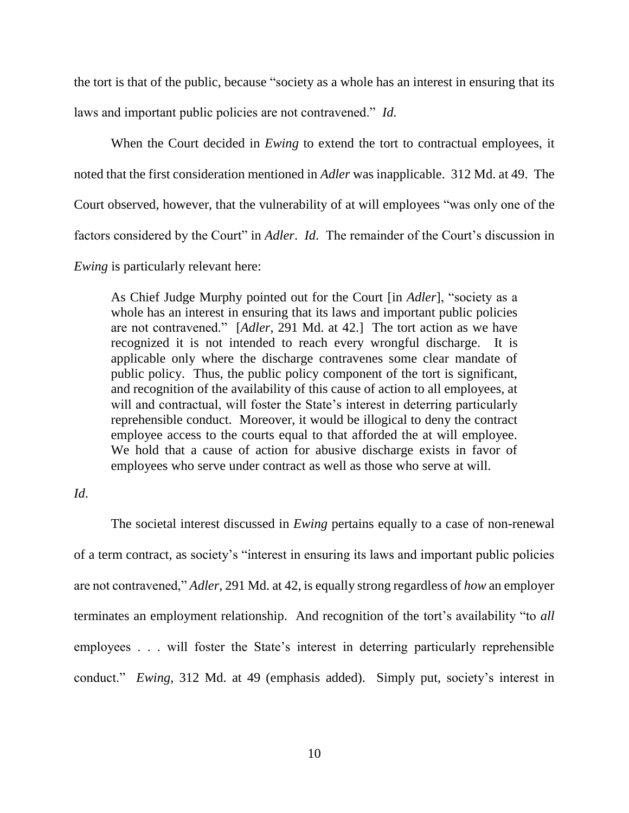the tort is that of the public, because "society as a whole has an interest in ensuring that its laws and important public policies are not contravened." *Id.*

When the Court decided in *Ewing* to extend the tort to contractual employees, it noted that the first consideration mentioned in *Adler* was inapplicable. 312 Md. at 49. The Court observed, however, that the vulnerability of at will employees "was only one of the factors considered by the Court" in *Adler. Id.* The remainder of the Court's discussion in *Ewing* is particularly relevant here:

As Chief Judge Murphy pointed out for the Court [in *Adler*], "society as a whole has an interest in ensuring that its laws and important public policies are not contravened." [*Adler*, 291 Md. at 42.] The tort action as we have recognized it is not intended to reach every wrongful discharge. It is applicable only where the discharge contravenes some clear mandate of public policy. Thus, the public policy component of the tort is significant, and recognition of the availability of this cause of action to all employees, at will and contractual, will foster the State's interest in deterring particularly reprehensible conduct. Moreover, it would be illogical to deny the contract employee access to the courts equal to that afforded the at will employee. We hold that a cause of action for abusive discharge exists in favor of employees who serve under contract as well as those who serve at will.

## *Id*.

The societal interest discussed in *Ewing* pertains equally to a case of non-renewal of a term contract, as society's "interest in ensuring its laws and important public policies are not contravened," *Adler*, 291 Md. at 42, is equally strong regardless of *how* an employer terminates an employment relationship. And recognition of the tort's availability "to *all* employees . . . will foster the State's interest in deterring particularly reprehensible conduct." *Ewing*, 312 Md. at 49 (emphasis added). Simply put, society's interest in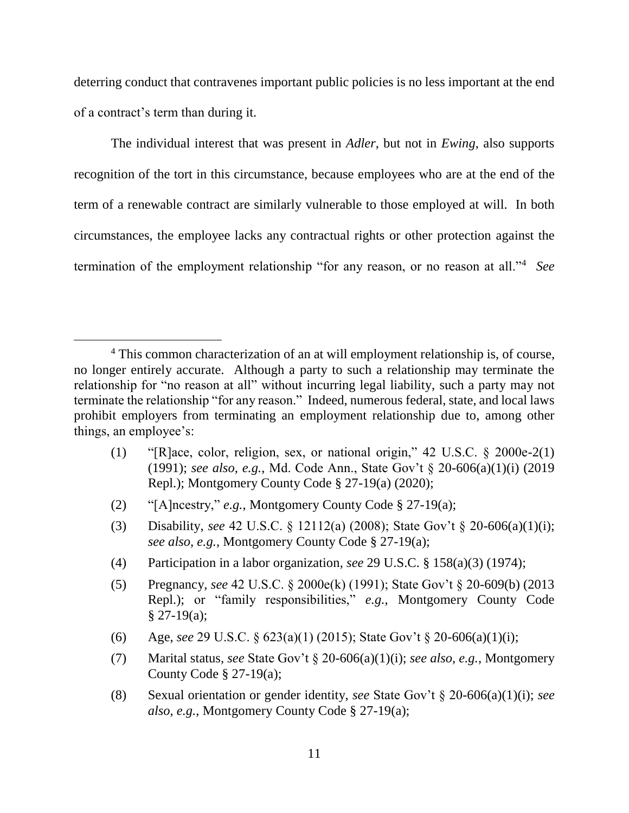deterring conduct that contravenes important public policies is no less important at the end of a contract's term than during it.

The individual interest that was present in *Adler*, but not in *Ewing*, also supports recognition of the tort in this circumstance, because employees who are at the end of the term of a renewable contract are similarly vulnerable to those employed at will. In both circumstances, the employee lacks any contractual rights or other protection against the termination of the employment relationship "for any reason, or no reason at all."<sup>4</sup> *See* 

- (1) "[R]ace, color, religion, sex, or national origin," 42 U.S.C. § 2000e-2(1) (1991); *see also, e.g.*, Md. Code Ann., State Gov't § 20-606(a)(1)(i) (2019 Repl.); Montgomery County Code § 27-19(a) (2020);
- (2) "[A]ncestry," *e.g.*, Montgomery County Code § 27-19(a);

- (3) Disability, *see* 42 U.S.C. § 12112(a) (2008); State Gov't § 20-606(a)(1)(i); *see also, e.g.*, Montgomery County Code § 27-19(a);
- (4) Participation in a labor organization, *see* 29 U.S.C. § 158(a)(3) (1974);
- (5) Pregnancy, *see* 42 U.S.C. § 2000e(k) (1991); State Gov't § 20-609(b) (2013 Repl.); or "family responsibilities," *e.g.*, Montgomery County Code  $§$  27-19(a);
- (6) Age, *see* 29 U.S.C. § 623(a)(1) (2015); State Gov't § 20-606(a)(1)(i);
- (7) Marital status, *see* State Gov't § 20-606(a)(1)(i); *see also, e.g.*, Montgomery County Code § 27-19(a);
- (8) Sexual orientation or gender identity, *see* State Gov't § 20-606(a)(1)(i); *see also, e.g.*, Montgomery County Code § 27-19(a);

<sup>&</sup>lt;sup>4</sup> This common characterization of an at will employment relationship is, of course, no longer entirely accurate. Although a party to such a relationship may terminate the relationship for "no reason at all" without incurring legal liability, such a party may not terminate the relationship "for any reason." Indeed, numerous federal, state, and local laws prohibit employers from terminating an employment relationship due to, among other things, an employee's: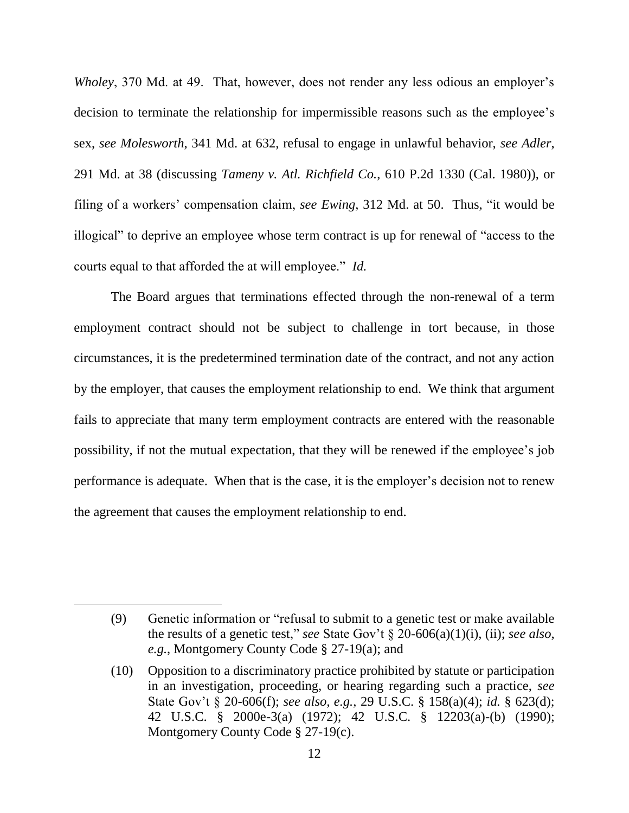*Wholey*, 370 Md. at 49. That, however, does not render any less odious an employer's decision to terminate the relationship for impermissible reasons such as the employee's sex, *see Molesworth*, 341 Md. at 632, refusal to engage in unlawful behavior, *see Adler*, 291 Md. at 38 (discussing *Tameny v. Atl. Richfield Co.*, 610 P.2d 1330 (Cal. 1980)), or filing of a workers' compensation claim, *see Ewing*, 312 Md. at 50. Thus, "it would be illogical" to deprive an employee whose term contract is up for renewal of "access to the courts equal to that afforded the at will employee." *Id.*

The Board argues that terminations effected through the non-renewal of a term employment contract should not be subject to challenge in tort because, in those circumstances, it is the predetermined termination date of the contract, and not any action by the employer, that causes the employment relationship to end. We think that argument fails to appreciate that many term employment contracts are entered with the reasonable possibility, if not the mutual expectation, that they will be renewed if the employee's job performance is adequate. When that is the case, it is the employer's decision not to renew the agreement that causes the employment relationship to end.

<sup>(9)</sup> Genetic information or "refusal to submit to a genetic test or make available the results of a genetic test," *see* State Gov't § 20-606(a)(1)(i), (ii); *see also, e.g.*, Montgomery County Code § 27-19(a); and

<sup>(10)</sup> Opposition to a discriminatory practice prohibited by statute or participation in an investigation, proceeding, or hearing regarding such a practice, *see*  State Gov't § 20-606(f); *see also, e.g.*, 29 U.S.C. § 158(a)(4); *id.* § 623(d); 42 U.S.C. § 2000e-3(a) (1972); 42 U.S.C. § 12203(a)-(b) (1990); Montgomery County Code § 27-19(c).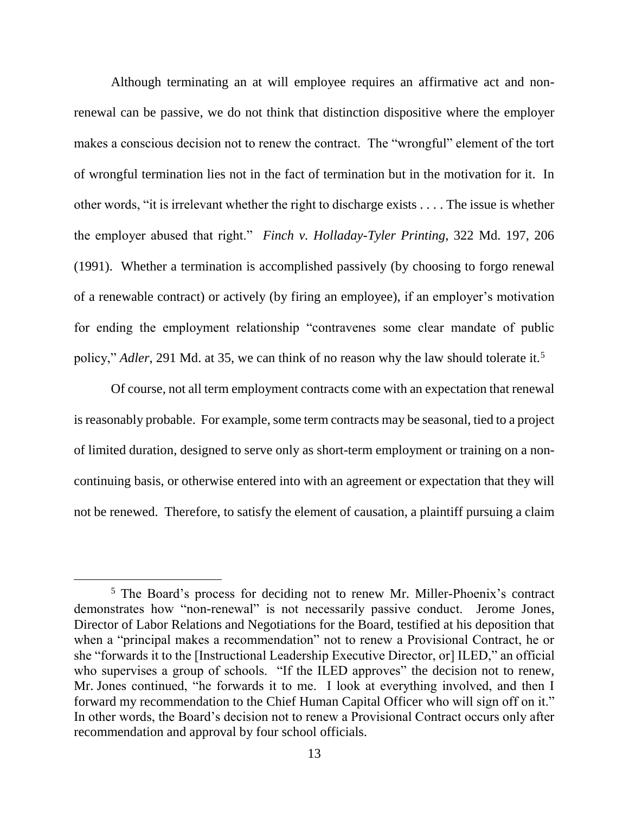Although terminating an at will employee requires an affirmative act and nonrenewal can be passive, we do not think that distinction dispositive where the employer makes a conscious decision not to renew the contract. The "wrongful" element of the tort of wrongful termination lies not in the fact of termination but in the motivation for it. In other words, "it is irrelevant whether the right to discharge exists . . . . The issue is whether the employer abused that right." *Finch v. Holladay-Tyler Printing*, 322 Md. 197, 206 (1991). Whether a termination is accomplished passively (by choosing to forgo renewal of a renewable contract) or actively (by firing an employee), if an employer's motivation for ending the employment relationship "contravenes some clear mandate of public policy," *Adler*, 291 Md. at 35, we can think of no reason why the law should tolerate it.<sup>5</sup>

Of course, not all term employment contracts come with an expectation that renewal is reasonably probable. For example, some term contracts may be seasonal, tied to a project of limited duration, designed to serve only as short-term employment or training on a noncontinuing basis, or otherwise entered into with an agreement or expectation that they will not be renewed. Therefore, to satisfy the element of causation, a plaintiff pursuing a claim

<sup>5</sup> The Board's process for deciding not to renew Mr. Miller-Phoenix's contract demonstrates how "non-renewal" is not necessarily passive conduct. Jerome Jones, Director of Labor Relations and Negotiations for the Board, testified at his deposition that when a "principal makes a recommendation" not to renew a Provisional Contract, he or she "forwards it to the [Instructional Leadership Executive Director, or] ILED," an official who supervises a group of schools. "If the ILED approves" the decision not to renew, Mr. Jones continued, "he forwards it to me. I look at everything involved, and then I forward my recommendation to the Chief Human Capital Officer who will sign off on it." In other words, the Board's decision not to renew a Provisional Contract occurs only after recommendation and approval by four school officials.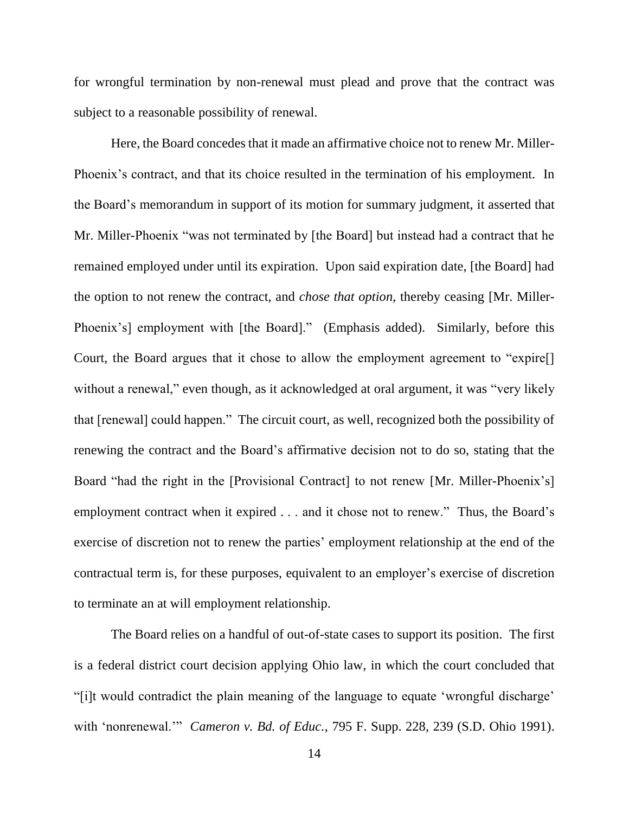for wrongful termination by non-renewal must plead and prove that the contract was subject to a reasonable possibility of renewal.

Here, the Board concedes that it made an affirmative choice not to renew Mr. Miller-Phoenix's contract, and that its choice resulted in the termination of his employment. In the Board's memorandum in support of its motion for summary judgment, it asserted that Mr. Miller-Phoenix "was not terminated by [the Board] but instead had a contract that he remained employed under until its expiration. Upon said expiration date, [the Board] had the option to not renew the contract, and *chose that option*, thereby ceasing [Mr. Miller-Phoenix's] employment with [the Board]." (Emphasis added). Similarly, before this Court, the Board argues that it chose to allow the employment agreement to "expire[] without a renewal," even though, as it acknowledged at oral argument, it was "very likely that [renewal] could happen." The circuit court, as well, recognized both the possibility of renewing the contract and the Board's affirmative decision not to do so, stating that the Board "had the right in the [Provisional Contract] to not renew [Mr. Miller-Phoenix's] employment contract when it expired . . . and it chose not to renew." Thus, the Board's exercise of discretion not to renew the parties' employment relationship at the end of the contractual term is, for these purposes, equivalent to an employer's exercise of discretion to terminate an at will employment relationship.

The Board relies on a handful of out-of-state cases to support its position. The first is a federal district court decision applying Ohio law, in which the court concluded that "[i]t would contradict the plain meaning of the language to equate 'wrongful discharge' with 'nonrenewal.'" *Cameron v. Bd. of Educ.*, 795 F. Supp. 228, 239 (S.D. Ohio 1991).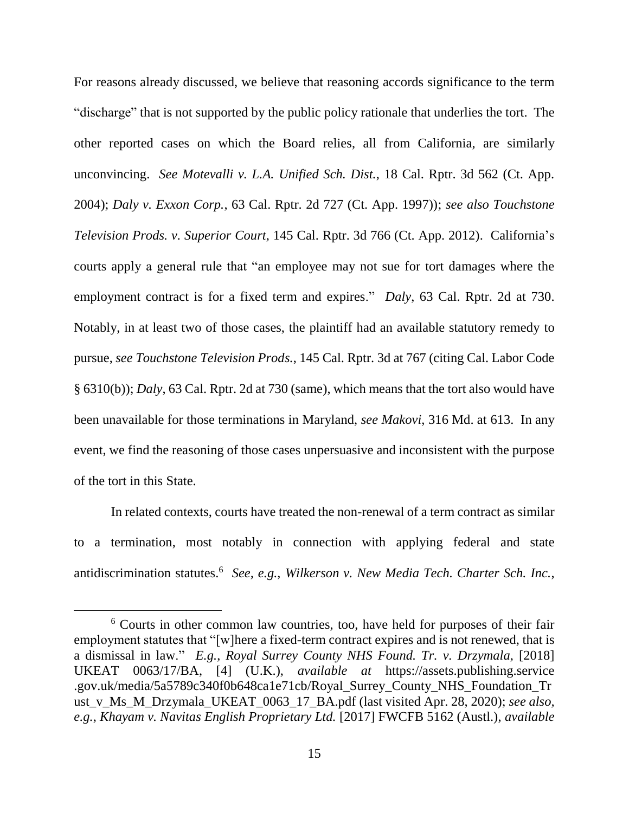For reasons already discussed, we believe that reasoning accords significance to the term "discharge" that is not supported by the public policy rationale that underlies the tort. The other reported cases on which the Board relies, all from California, are similarly unconvincing. *See Motevalli v. L.A. Unified Sch. Dist.*, 18 Cal. Rptr. 3d 562 (Ct. App. 2004); *Daly v. Exxon Corp.*, 63 Cal. Rptr. 2d 727 (Ct. App. 1997)); *see also Touchstone Television Prods. v. Superior Court*, 145 Cal. Rptr. 3d 766 (Ct. App. 2012). California's courts apply a general rule that "an employee may not sue for tort damages where the employment contract is for a fixed term and expires." *Daly*, 63 Cal. Rptr. 2d at 730. Notably, in at least two of those cases, the plaintiff had an available statutory remedy to pursue, *see Touchstone Television Prods.*, 145 Cal. Rptr. 3d at 767 (citing Cal. Labor Code § 6310(b)); *Daly*, 63 Cal. Rptr. 2d at 730 (same), which means that the tort also would have been unavailable for those terminations in Maryland, *see Makovi*, 316 Md. at 613. In any event, we find the reasoning of those cases unpersuasive and inconsistent with the purpose of the tort in this State.

In related contexts, courts have treated the non-renewal of a term contract as similar to a termination, most notably in connection with applying federal and state antidiscrimination statutes.<sup>6</sup> See, e.g., Wilkerson v. New Media Tech. Charter Sch. Inc.,

<sup>6</sup> Courts in other common law countries, too, have held for purposes of their fair employment statutes that "[w]here a fixed-term contract expires and is not renewed, that is a dismissal in law." *E.g.*, *Royal Surrey County NHS Found. Tr. v. Drzymala*, [2018] UKEAT 0063/17/BA, [4] (U.K.), *available at* https://assets.publishing.service .gov.uk/media/5a5789c340f0b648ca1e71cb/Royal\_Surrey\_County\_NHS\_Foundation\_Tr ust\_v\_Ms\_M\_Drzymala\_UKEAT\_0063\_17\_BA.pdf (last visited Apr. 28, 2020); *see also, e.g.*, *Khayam v. Navitas English Proprietary Ltd.* [2017] FWCFB 5162 (Austl.), *available*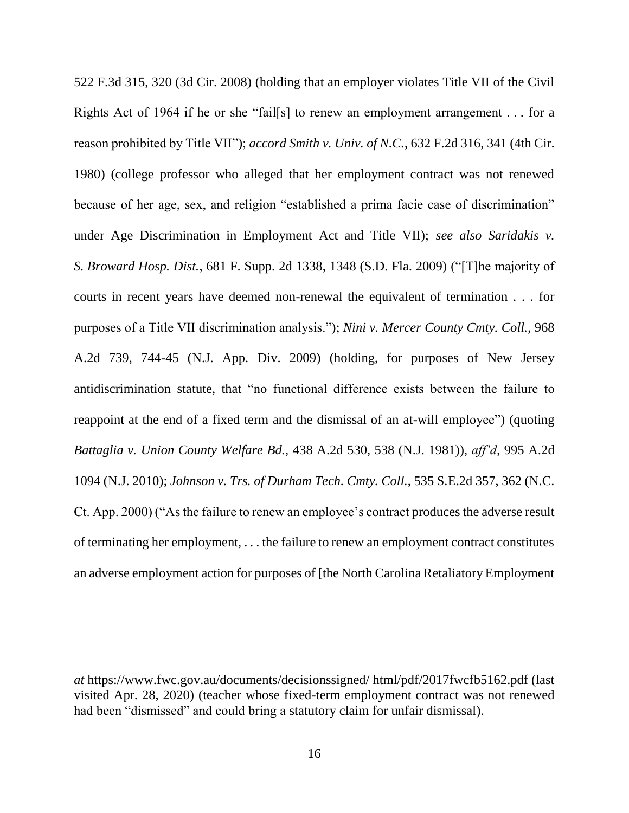522 F.3d 315, 320 (3d Cir. 2008) (holding that an employer violates Title VII of the Civil Rights Act of 1964 if he or she "fail[s] to renew an employment arrangement . . . for a reason prohibited by Title VII"); *accord Smith v. Univ. of N.C.*, 632 F.2d 316, 341 (4th Cir. 1980) (college professor who alleged that her employment contract was not renewed because of her age, sex, and religion "established a prima facie case of discrimination" under Age Discrimination in Employment Act and Title VII); *see also Saridakis v. S. Broward Hosp. Dist.*, 681 F. Supp. 2d 1338, 1348 (S.D. Fla. 2009) ("[T]he majority of courts in recent years have deemed non-renewal the equivalent of termination . . . for purposes of a Title VII discrimination analysis."); *Nini v. Mercer County Cmty. Coll.*, 968 A.2d 739, 744-45 (N.J. App. Div. 2009) (holding, for purposes of New Jersey antidiscrimination statute, that "no functional difference exists between the failure to reappoint at the end of a fixed term and the dismissal of an at-will employee") (quoting *Battaglia v. Union County Welfare Bd.*, 438 A.2d 530, 538 (N.J. 1981)), *aff'd*, 995 A.2d 1094 (N.J. 2010); *Johnson v. Trs. of Durham Tech. Cmty. Coll.*, 535 S.E.2d 357, 362 (N.C. Ct. App. 2000) ("As the failure to renew an employee's contract produces the adverse result of terminating her employment, . . . the failure to renew an employment contract constitutes an adverse employment action for purposes of [the North Carolina Retaliatory Employment

*at* https://www.fwc.gov.au/documents/decisionssigned/ html/pdf/2017fwcfb5162.pdf (last visited Apr. 28, 2020) (teacher whose fixed-term employment contract was not renewed had been "dismissed" and could bring a statutory claim for unfair dismissal).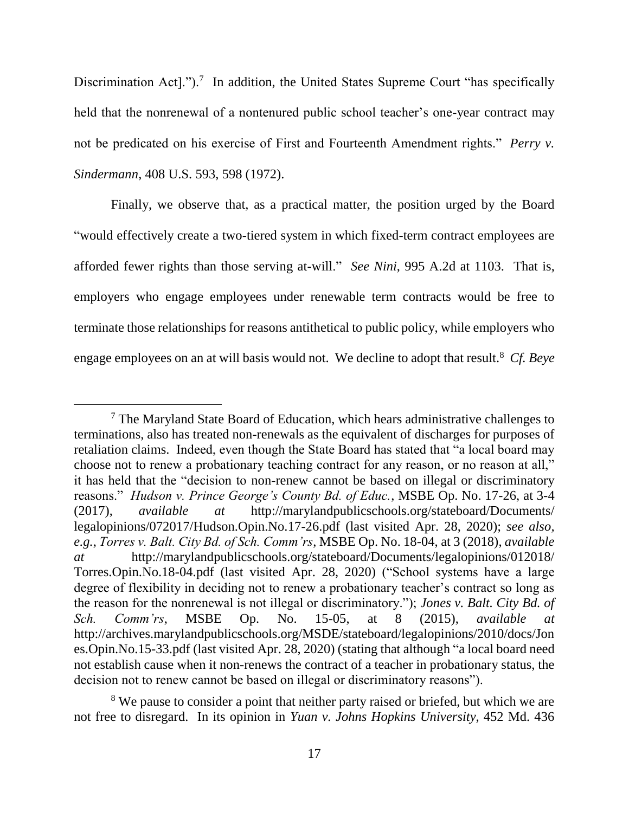Discrimination Act].").<sup>7</sup> In addition, the United States Supreme Court "has specifically held that the nonrenewal of a nontenured public school teacher's one-year contract may not be predicated on his exercise of First and Fourteenth Amendment rights." *Perry v. Sindermann*, 408 U.S. 593, 598 (1972).

Finally, we observe that, as a practical matter, the position urged by the Board "would effectively create a two-tiered system in which fixed-term contract employees are afforded fewer rights than those serving at-will." *See Nini*, 995 A.2d at 1103. That is, employers who engage employees under renewable term contracts would be free to terminate those relationships for reasons antithetical to public policy, while employers who engage employees on an at will basis would not. We decline to adopt that result. 8 *Cf. Beye* 

 $<sup>7</sup>$  The Maryland State Board of Education, which hears administrative challenges to</sup> terminations, also has treated non-renewals as the equivalent of discharges for purposes of retaliation claims. Indeed, even though the State Board has stated that "a local board may choose not to renew a probationary teaching contract for any reason, or no reason at all," it has held that the "decision to non-renew cannot be based on illegal or discriminatory reasons." *Hudson v. Prince George's County Bd. of Educ.*, MSBE Op. No. 17-26, at 3-4 (2017), *available at* http://marylandpublicschools.org/stateboard/Documents/ legalopinions/072017/Hudson.Opin.No.17-26.pdf (last visited Apr. 28, 2020); *see also, e.g.*, *Torres v. Balt. City Bd. of Sch. Comm'rs*, MSBE Op. No. 18-04, at 3 (2018), *available at* http://marylandpublicschools.org/stateboard/Documents/legalopinions/012018/ Torres.Opin.No.18-04.pdf (last visited Apr. 28, 2020) ("School systems have a large degree of flexibility in deciding not to renew a probationary teacher's contract so long as the reason for the nonrenewal is not illegal or discriminatory."); *Jones v. Balt. City Bd. of Sch. Comm'rs*, MSBE Op. No. 15-05, at 8 (2015), *available at* http://archives.marylandpublicschools.org/MSDE/stateboard/legalopinions/2010/docs/Jon es.Opin.No.15-33.pdf (last visited Apr. 28, 2020) (stating that although "a local board need not establish cause when it non-renews the contract of a teacher in probationary status, the decision not to renew cannot be based on illegal or discriminatory reasons").

<sup>&</sup>lt;sup>8</sup> We pause to consider a point that neither party raised or briefed, but which we are not free to disregard. In its opinion in *Yuan v. Johns Hopkins University*, 452 Md. 436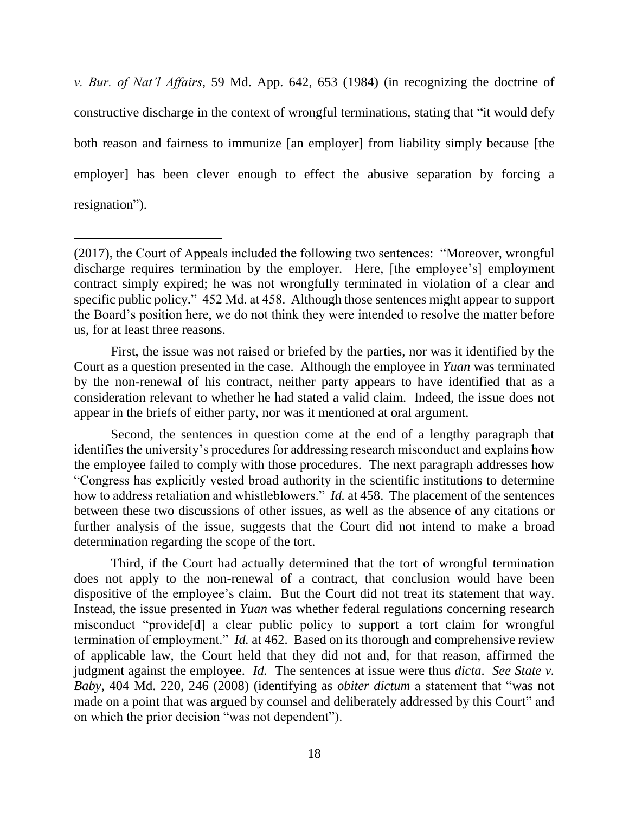*v. Bur. of Nat'l Affairs*, 59 Md. App. 642, 653 (1984) (in recognizing the doctrine of constructive discharge in the context of wrongful terminations, stating that "it would defy both reason and fairness to immunize [an employer] from liability simply because [the employer] has been clever enough to effect the abusive separation by forcing a resignation").

 $\overline{a}$ 

First, the issue was not raised or briefed by the parties, nor was it identified by the Court as a question presented in the case. Although the employee in *Yuan* was terminated by the non-renewal of his contract, neither party appears to have identified that as a consideration relevant to whether he had stated a valid claim. Indeed, the issue does not appear in the briefs of either party, nor was it mentioned at oral argument.

Second, the sentences in question come at the end of a lengthy paragraph that identifies the university's procedures for addressing research misconduct and explains how the employee failed to comply with those procedures. The next paragraph addresses how "Congress has explicitly vested broad authority in the scientific institutions to determine how to address retaliation and whistleblowers." *Id.* at 458. The placement of the sentences between these two discussions of other issues, as well as the absence of any citations or further analysis of the issue, suggests that the Court did not intend to make a broad determination regarding the scope of the tort.

Third, if the Court had actually determined that the tort of wrongful termination does not apply to the non-renewal of a contract, that conclusion would have been dispositive of the employee's claim. But the Court did not treat its statement that way. Instead, the issue presented in *Yuan* was whether federal regulations concerning research misconduct "provide[d] a clear public policy to support a tort claim for wrongful termination of employment." *Id.* at 462. Based on its thorough and comprehensive review of applicable law, the Court held that they did not and, for that reason, affirmed the judgment against the employee. *Id.* The sentences at issue were thus *dicta*. *See State v. Baby*, 404 Md. 220, 246 (2008) (identifying as *obiter dictum* a statement that "was not made on a point that was argued by counsel and deliberately addressed by this Court" and on which the prior decision "was not dependent").

<sup>(2017),</sup> the Court of Appeals included the following two sentences: "Moreover, wrongful discharge requires termination by the employer. Here, [the employee's] employment contract simply expired; he was not wrongfully terminated in violation of a clear and specific public policy." 452 Md. at 458. Although those sentences might appear to support the Board's position here, we do not think they were intended to resolve the matter before us, for at least three reasons.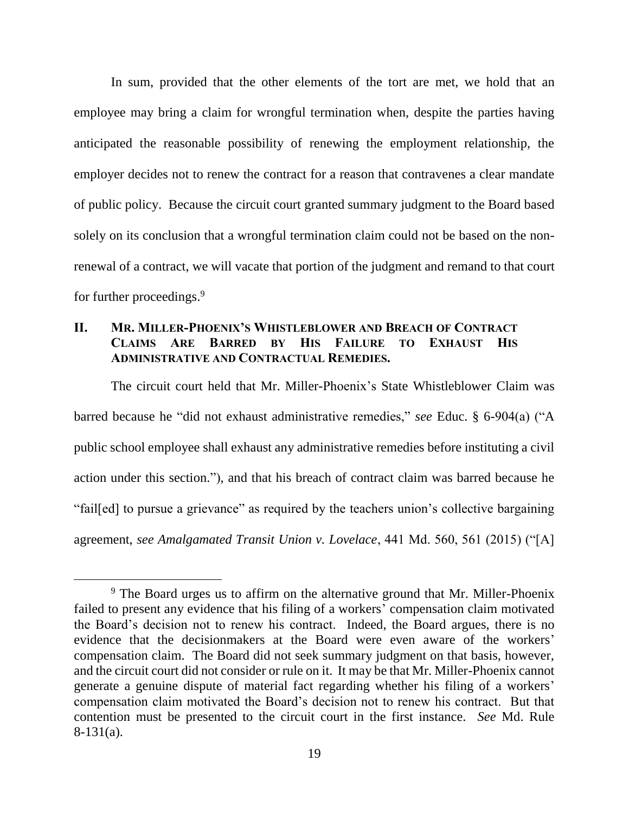In sum, provided that the other elements of the tort are met, we hold that an employee may bring a claim for wrongful termination when, despite the parties having anticipated the reasonable possibility of renewing the employment relationship, the employer decides not to renew the contract for a reason that contravenes a clear mandate of public policy. Because the circuit court granted summary judgment to the Board based solely on its conclusion that a wrongful termination claim could not be based on the nonrenewal of a contract, we will vacate that portion of the judgment and remand to that court for further proceedings.<sup>9</sup>

## **II. MR. MILLER-PHOENIX'S WHISTLEBLOWER AND BREACH OF CONTRACT CLAIMS ARE BARRED BY HIS FAILURE TO EXHAUST HIS ADMINISTRATIVE AND CONTRACTUAL REMEDIES.**

The circuit court held that Mr. Miller-Phoenix's State Whistleblower Claim was barred because he "did not exhaust administrative remedies," *see* Educ. § 6-904(a) ("A public school employee shall exhaust any administrative remedies before instituting a civil action under this section."), and that his breach of contract claim was barred because he "fail[ed] to pursue a grievance" as required by the teachers union's collective bargaining agreement, *see Amalgamated Transit Union v. Lovelace*, 441 Md. 560, 561 (2015) ("[A]

<sup>&</sup>lt;sup>9</sup> The Board urges us to affirm on the alternative ground that Mr. Miller-Phoenix failed to present any evidence that his filing of a workers' compensation claim motivated the Board's decision not to renew his contract. Indeed, the Board argues, there is no evidence that the decisionmakers at the Board were even aware of the workers' compensation claim. The Board did not seek summary judgment on that basis, however, and the circuit court did not consider or rule on it. It may be that Mr. Miller-Phoenix cannot generate a genuine dispute of material fact regarding whether his filing of a workers' compensation claim motivated the Board's decision not to renew his contract. But that contention must be presented to the circuit court in the first instance. *See* Md. Rule 8-131(a).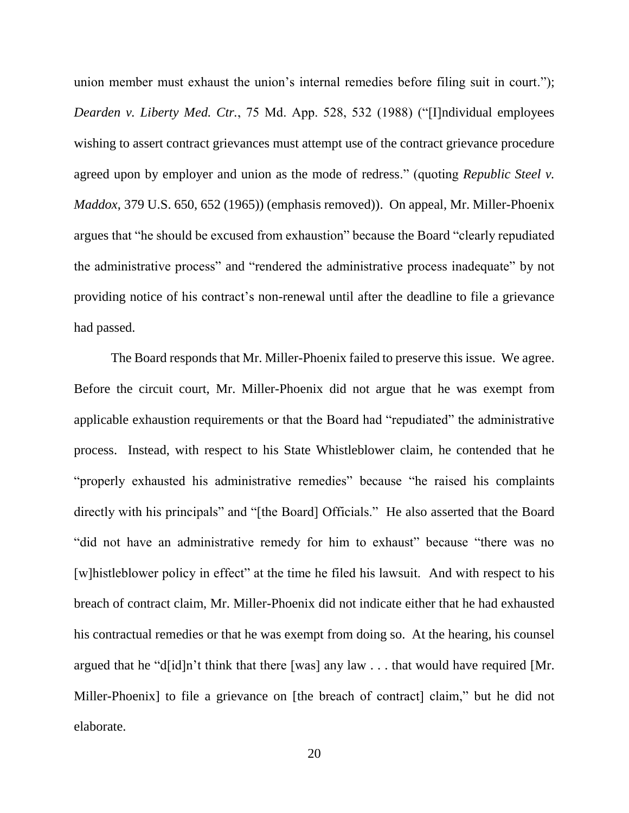union member must exhaust the union's internal remedies before filing suit in court."); *Dearden v. Liberty Med. Ctr.*, 75 Md. App. 528, 532 (1988) ("[I]ndividual employees wishing to assert contract grievances must attempt use of the contract grievance procedure agreed upon by employer and union as the mode of redress." (quoting *Republic Steel v. Maddox*, 379 U.S. 650, 652 (1965)) (emphasis removed)). On appeal, Mr. Miller-Phoenix argues that "he should be excused from exhaustion" because the Board "clearly repudiated the administrative process" and "rendered the administrative process inadequate" by not providing notice of his contract's non-renewal until after the deadline to file a grievance had passed.

The Board responds that Mr. Miller-Phoenix failed to preserve this issue. We agree. Before the circuit court, Mr. Miller-Phoenix did not argue that he was exempt from applicable exhaustion requirements or that the Board had "repudiated" the administrative process. Instead, with respect to his State Whistleblower claim, he contended that he "properly exhausted his administrative remedies" because "he raised his complaints directly with his principals" and "[the Board] Officials." He also asserted that the Board "did not have an administrative remedy for him to exhaust" because "there was no [w]histleblower policy in effect" at the time he filed his lawsuit. And with respect to his breach of contract claim, Mr. Miller-Phoenix did not indicate either that he had exhausted his contractual remedies or that he was exempt from doing so. At the hearing, his counsel argued that he "d[id]n't think that there [was] any law . . . that would have required [Mr. Miller-Phoenix] to file a grievance on [the breach of contract] claim," but he did not elaborate.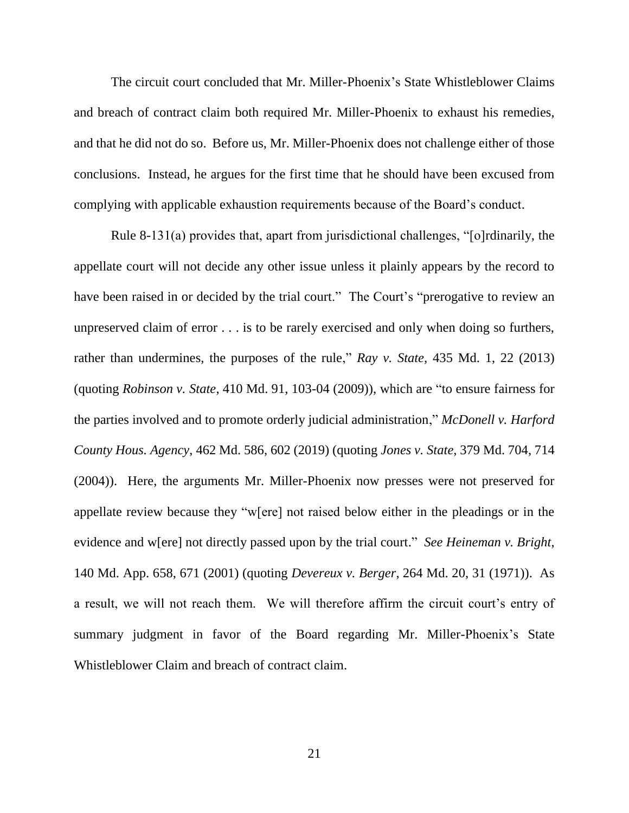The circuit court concluded that Mr. Miller-Phoenix's State Whistleblower Claims and breach of contract claim both required Mr. Miller-Phoenix to exhaust his remedies, and that he did not do so. Before us, Mr. Miller-Phoenix does not challenge either of those conclusions. Instead, he argues for the first time that he should have been excused from complying with applicable exhaustion requirements because of the Board's conduct.

Rule 8-131(a) provides that, apart from jurisdictional challenges, "[o]rdinarily, the appellate court will not decide any other issue unless it plainly appears by the record to have been raised in or decided by the trial court." The Court's "prerogative to review an unpreserved claim of error . . . is to be rarely exercised and only when doing so furthers, rather than undermines, the purposes of the rule," *Ray v. State*, 435 Md. 1, 22 (2013) (quoting *Robinson v. State*, 410 Md. 91, 103-04 (2009)), which are "to ensure fairness for the parties involved and to promote orderly judicial administration," *McDonell v. Harford County Hous. Agency*, 462 Md. 586, 602 (2019) (quoting *Jones v. State*, 379 Md. 704, 714 (2004)). Here, the arguments Mr. Miller-Phoenix now presses were not preserved for appellate review because they "w[ere] not raised below either in the pleadings or in the evidence and w[ere] not directly passed upon by the trial court." *See Heineman v. Bright*, 140 Md. App. 658, 671 (2001) (quoting *Devereux v. Berger*, 264 Md. 20, 31 (1971)). As a result, we will not reach them. We will therefore affirm the circuit court's entry of summary judgment in favor of the Board regarding Mr. Miller-Phoenix's State Whistleblower Claim and breach of contract claim.